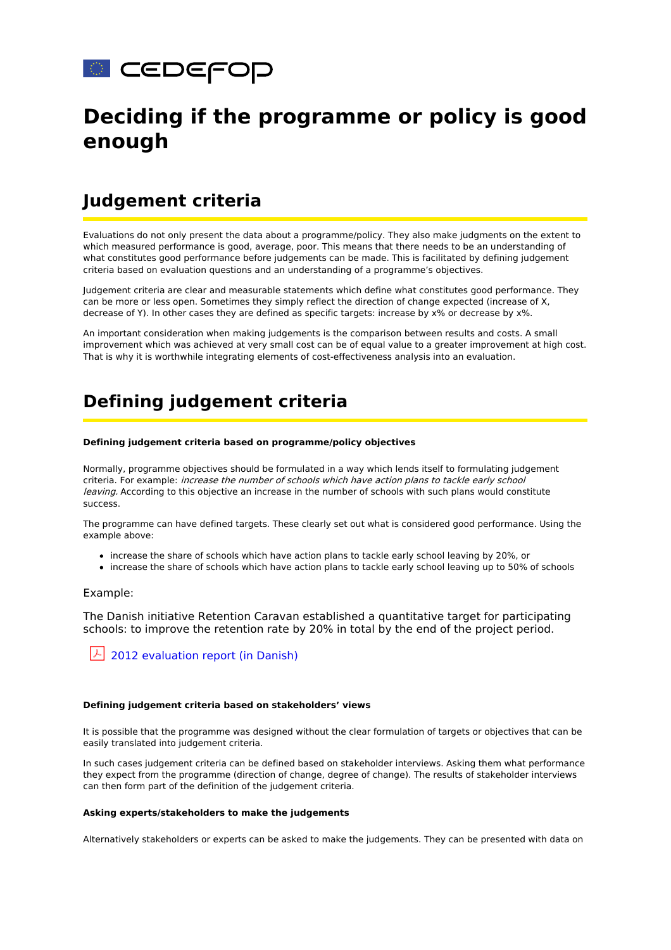

# **Deciding if the programme or policy is good enough**

## **Judgement criteria**

Evaluations do not only present the data about a programme/policy. They also make judgments on the extent to which measured performance is good, average, poor. This means that there needs to be an understanding of what constitutes good performance before judgements can be made. This is facilitated by defining judgement criteria based on evaluation questions and an understanding of a programme's objectives.

Judgement criteria are clear and measurable statements which define what constitutes good performance. They can be more or less open. Sometimes they simply reflect the direction of change expected (increase of X, decrease of Y). In other cases they are defined as specific targets: increase by x% or decrease by x%.

An important consideration when making judgements is the comparison between results and costs. A small improvement which was achieved at very small cost can be of equal value to a greater improvement at high cost. That is why it is worthwhile integrating elements of cost-effectiveness analysis into an evaluation.

# **Defining judgement criteria**

#### **Defining judgement criteria based on programme/policy objectives**

Normally, programme objectives should be formulated in a way which lends itself to formulating judgement criteria. For example: increase the number of schools which have action plans to tackle early school leaving. According to this objective an increase in the number of schools with such plans would constitute success.

The programme can have defined targets. These clearly set out what is considered good performance. Using the example above:

- increase the share of schools which have action plans to tackle early school leaving by 20%, or
- increase the share of schools which have action plans to tackle early school leaving up to 50% of schools

#### Example:

The Danish initiative Retention Caravan established a quantitative target for participating schools: to improve the retention rate by 20% in total by the end of the project period.

### $\lfloor \frac{\lambda}{2012} \rfloor$  [evaluation](https://www.cedefop.europa.eu/files/3_2_2b_evaluation_retentioncaravan_dk.pdf) report (in Danish)

#### **Defining judgement criteria based on stakeholders' views**

It is possible that the programme was designed without the clear formulation of targets or objectives that can be easily translated into judgement criteria.

In such cases judgement criteria can be defined based on stakeholder interviews. Asking them what performance they expect from the programme (direction of change, degree of change). The results of stakeholder interviews can then form part of the definition of the judgement criteria.

#### **Asking experts/stakeholders to make the judgements**

Alternatively stakeholders or experts can be asked to make the judgements. They can be presented with data on